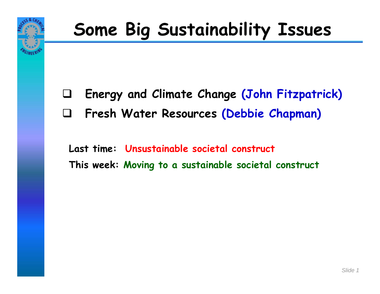

### **Some Big Sustainability Issues**

- $\Box$ **Energy and Climate Change (John Fitzpatrick)**
- ⊔ **Fresh Water Resources (Debbie Chapman)**

**Last time: Unsustainable societal construct This week: Moving to a sustainable societal construct**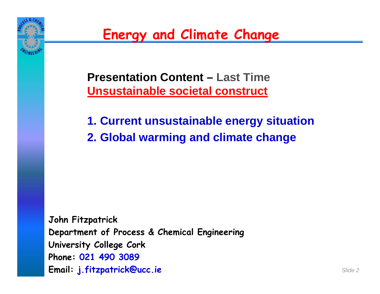

**Presentation Content – Last Time Unsustainable societal construct**

**1. Current unsustainable energy situation 2. Global warming and climate change**

**John Fitzpatrick Department of Process & Chemical Engineering University College Cork Phone: 021 490 3089 Email: j.fitzpatrick@ucc.ie**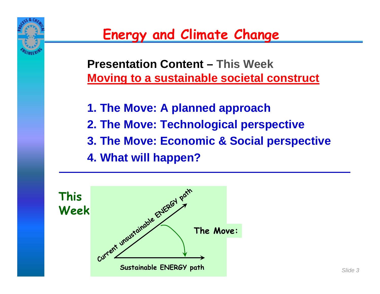

**Presentation Content – This Week Moving to a sustainable societal construct**

- **1. The Move: A planned approach**
- **2. The Move: Technological perspective**
- **3. The Move: Economic & Social perspective**
- **4. What will happen?**

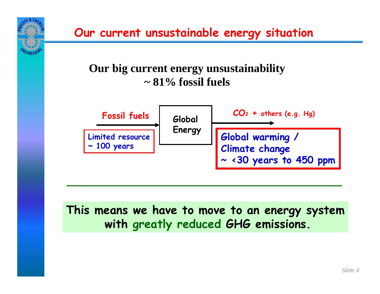**Our current unsustainable energy situation**

#### **Our big current energy unsustainability ~ 81% fossil fuels**



#### **This means we have to move to an energy system with greatly reduced GHG emissions.**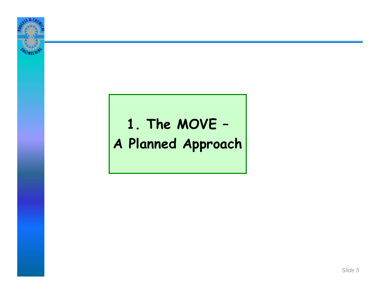

# **1. The MOVE – A Planned Approach**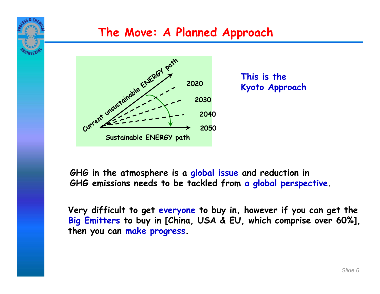



**This is the Kyoto Approach**

**GHG in the atmosphere is a global issue and reduction in GHG emissions needs to be tackled from a global perspective.**

**Very difficult to get everyone to buy in, however if you can get the Big Emitters to buy in [China, USA & EU, which comprise over 60%], then you can make progress.**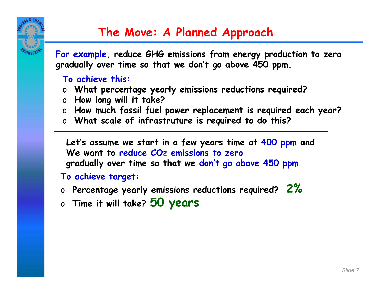

**For example, reduce GHG emissions from energy production to zero gradually over time so that we don't go above 450 ppm.**

#### **To achieve this:**

- o**What percentage yearly emissions reductions required?**
- o**How long will it take?**
- o**How much fossil fuel power replacement is required each year?**
- o **What scale of infrastruture is required to do this?**

**Let's assume we start in a few years time at 400 ppm and We want to reduce CO2 emissions to zero gradually over time so that we don't go above 450 ppm**

**To achieve target:**

- o **Percentage yearly emissions reductions required? 2%**
- o **Time it will take? 50 years**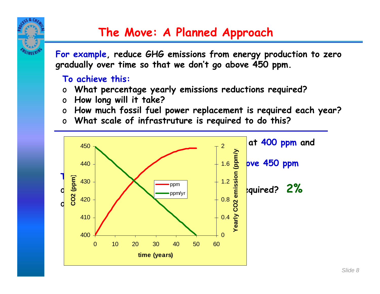

**For example, reduce GHG emissions from energy production to zero gradually over time so that we don't go above 450 ppm.**

#### **To achieve this:**

- o**What percentage yearly emissions reductions required?**
- o**How long will it take?**
- o**How much fossil fuel power replacement is required each year?**
- o **What scale of infrastruture is required to do this?**

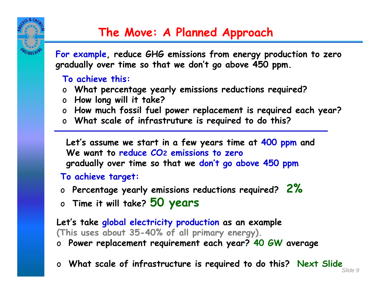

**For example, reduce GHG emissions from energy production to zero gradually over time so that we don't go above 450 ppm.**

#### **To achieve this:**

- o**What percentage yearly emissions reductions required?**
- o**How long will it take?**
- o**How much fossil fuel power replacement is required each year?**
- o **What scale of infrastruture is required to do this?**

**Let's assume we start in a few years time at 400 ppm and We want to reduce CO2 emissions to zero gradually over time so that we don't go above 450 ppm**

#### **To achieve target:**

- o **Percentage yearly emissions reductions required? 2%**
- o **Time it will take? 50 years**

**Let's take global electricity production as an example (This uses about 35-40% of all primary energy).**

- o**Power replacement requirement each year? 40 GW average**
- o**What scale of infrastructure is required to do this? Next Slide**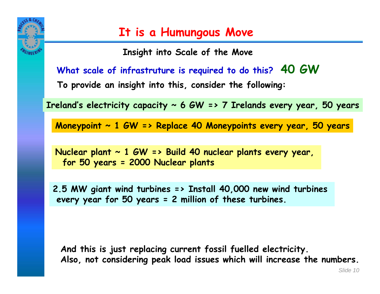

**Insight into Scale of the Move**

**What scale of infrastruture is required to do this? 40 GW**

**To provide an insight into this, consider the following:**

**Ireland's electricity capacity ~ 6 GW => 7 Irelands every year, 50 years**

**Moneypoint ~ 1 GW => Replace 40 Moneypoints every year, 50 years**

**Nuclear plant ~ 1 GW => Build 40 nuclear plants every year, for 50 years = 2000 Nuclear plants**

**2.5 MW giant wind turbines => Install 40,000 new wind turbines every year for 50 years = 2 million of these turbines.**

**And this is just replacing current fossil fuelled electricity. Also, not considering peak load issues which will increase the numbers.**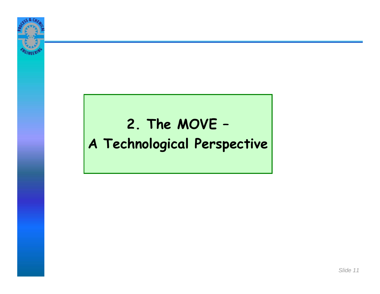

# **2. The MOVE – A Technological Perspective**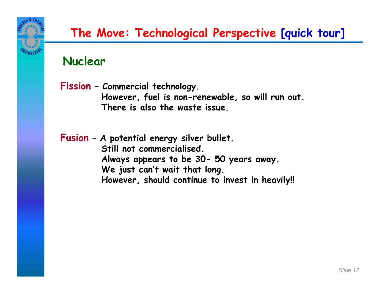

#### **Nuclear**

**Fission – Commercial technology. However, fuel is non-renewable, so will run out. There is also the waste issue.**

**Fusion – A potential energy silver bullet. Still not commercialised. Always appears to be 30- 50 years away. We just can't wait that long. However, should continue to invest in heavily!!**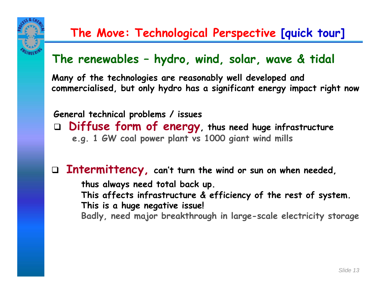

#### **The Move: Technological Perspective [quick tour]**

#### **The renewables – hydro, wind, solar, wave & tidal**

**Many of the technologies are reasonably well developed and commercialised, but only hydro has a significant energy impact right now**

**General technical problems / issues Diffuse form of energy, thus need huge infrastructure e.g. 1 GW coal power plant vs 1000 giant wind mills**

 **Intermittency, can't turn the wind or sun on when needed, thus always need total back up. This affects infrastructure & efficiency of the rest of system. This is a huge negative issue! Badly, need major breakthrough in large-scale electricity storage**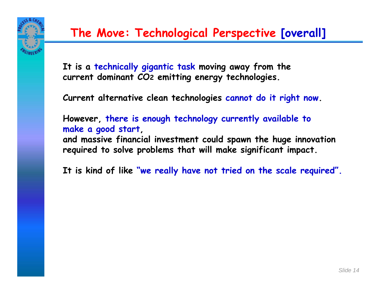

**It is a technically gigantic task moving away from the current dominant CO 2 emitting energy technologies.**

**Current alternative clean technologies cannot do it right now.**

**However, there is enough technology currently available to make a good start, and massive financial investment could spawn the huge innovation required to solve problems that will make significant impact.**

**It is kind of like "we really have not tried on the scale required".**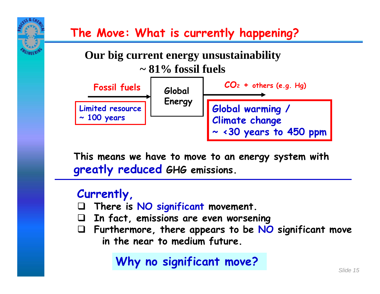

**This means we have to move to an energy system with greatly reduced GHG emissions.**

#### **Currently,**

- $\Box$ **There is NO significant movement.**
- $\Box$ **In fact, emissions are even worsening**
- **Furthermore, there appears to be NO significant move in the near to medium future.**

#### **Why no significant move?**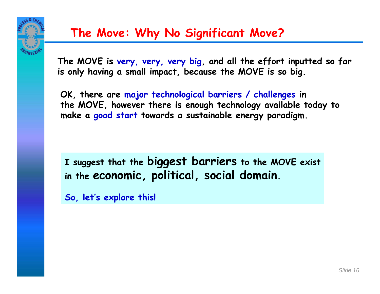

### **The Move: Why No Significant Move?**

**The MOVE is very, very, very big, and all the effort inputted so far is only having a small impact, because the MOVE is so big.**

**OK, there are major technological barriers / challenges in the MOVE, however there is enough technology available today to make a good start towards a sustainable energy paradigm.**

**I suggest that the biggest barriers to the MOVE exist in the economic, political, social domain.** 

**So, let's explore this!**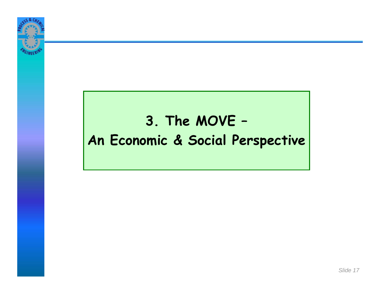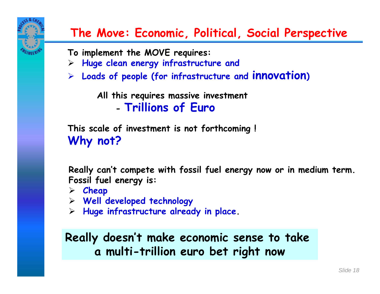

**To implement the MOVE requires:**

- $\blacktriangleright$ **Huge clean energy infrastructure and**
- ¾ **Loads of people (for infrastructure and innovation )**

**All this requires massive investment**

**- Trillions of Euro**

**This scale of investment is not forthcoming ! Why not?**

**Really can't compete with fossil fuel energy now or in medium term. Fossil fuel energy is:**

- ¾ **Cheap**
- ¾ **Well developed technology**
- ¾ **Huge infrastructure already in place.**

**Really doesn't make economic sense to take a multi-trillion euro bet right now**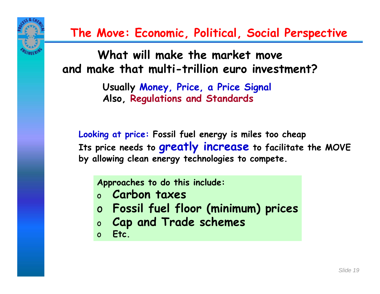

**What will make the market move and make that multi-trillion euro investment?**

> **Usually Money, Price, a Price Signal Also, Regulations and Standards**

**Looking at price: Fossil fuel energy is miles too cheap Its price needs to greatly increase to facilitate the MOVE by allowing clean energy technologies to compete.**

**Approaches to do this include:**

- o **Carbon taxes**
- <sup>o</sup> **Fossil fuel floor (minimum) prices**
- o**Cap and Trade schemes**
- o**Etc.**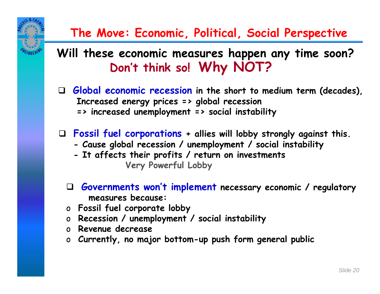**Will these economic measures happen any time soon? Don't think so! Why NOT?**

- **Global economic recession in the short to medium term (decades), Increased energy prices => global recession => increased unemployment => social instability**
- **Fossil fuel corporations + allies will lobby strongly against this.**
	- **- Cause global recession / unemployment / social instability**
	- **- It affects their profits / return on investments Very Powerful Lobby**
	- **Governments won't implement necessary economic / regulatory measures because:**
	- o **Fossil fuel corporate lobby**
	- o **Recession / unemployment / social instability**
	- o **Revenue decrease**
	- o **Currently, no major bottom-up push form general public**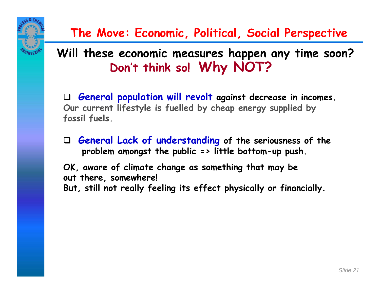#### **Will these economic measures happen any time soon? Don't think so! Why NOT?**

 **General population will revolt against decrease in incomes. Our current lifestyle is fuelled by cheap energy supplied by fossil fuels.**

 **General Lack of understanding of the seriousness of the problem amongst the public => little bottom-up push.**

**OK, aware of climate change as something that may be out there, somewhere! But, still not really feeling its effect physically or financially.**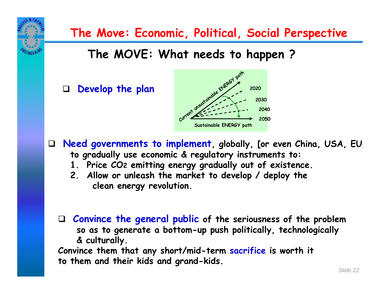

**Convince them that any short/mid-term sacrifice is worth it to them and their kids and grand-kids.**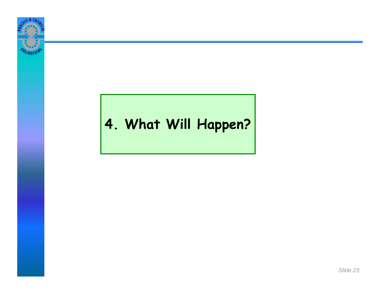

# **4. What Will Happen?**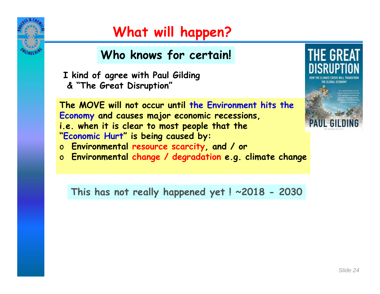

### **What will happen?**

#### **Who knows for certain!**

**I kind of agree with Paul Gilding & "The Great Disruption"**

**The MOVE will not occur until the Environment hits the Economy and causes major economic recessions, i.e. when it is clear to most people that the "Economic Hurt" is being caused by:**  o **Environmental resource scarcity, and / or**

o **Environmental change / degradation e.g. climate change**

**This has not really happened yet ! ~2018 - 2030**



*Slide 24*

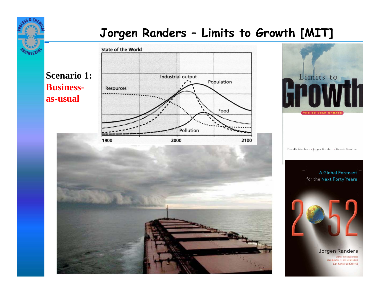#### **Jorgen Randers – Limits to Growth [MIT]**